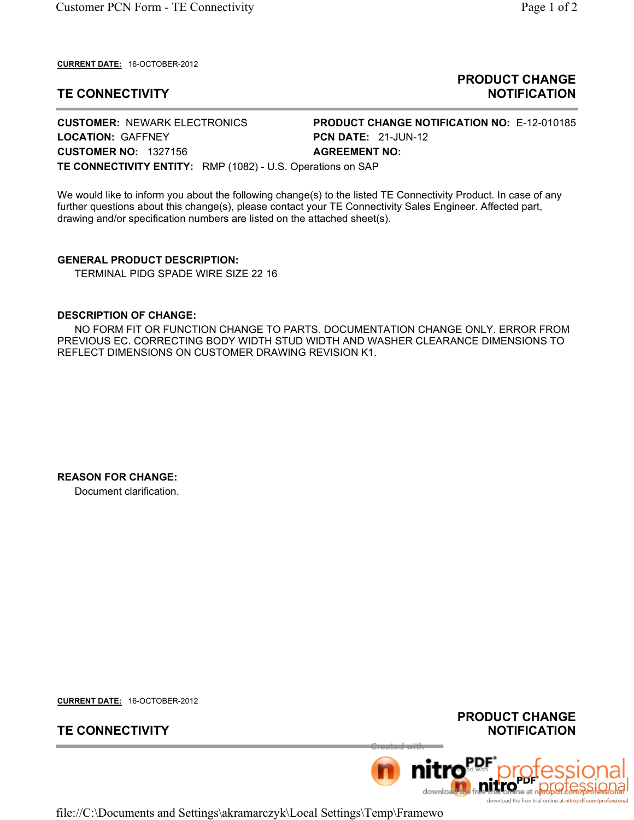**CURRENT DATE:** 16-OCTOBER-2012

# **TE CONNECTIVITY**

### **PRODUCT CHANGE NOTIFICATION**

**CUSTOMER:** NEWARK ELECTRONICS **PRODUCT CHANGE NOTIFICATION NO:** E-12-010185 **LOCATION: GAFFNEY PCN DATE: 21-JUN-12 CUSTOMER NO:**  1327156 **AGREEMENT NO: TE CONNECTIVITY ENTITY:**  RMP (1082) - U.S. Operations on SAP

We would like to inform you about the following change(s) to the listed TE Connectivity Product. In case of any further questions about this change(s), please contact your TE Connectivity Sales Engineer. Affected part, drawing and/or specification numbers are listed on the attached sheet(s).

**GENERAL PRODUCT DESCRIPTION:** TERMINAL PIDG SPADE WIRE SIZE 22 16

#### **DESCRIPTION OF CHANGE:**

 NO FORM FIT OR FUNCTION CHANGE TO PARTS. DOCUMENTATION CHANGE ONLY. ERROR FROM PREVIOUS EC. CORRECTING BODY WIDTH STUD WIDTH AND WASHER CLEARANCE DIMENSIONS TO REFLECT DIMENSIONS ON CUSTOMER DRAWING REVISION K1.

**REASON FOR CHANGE:** Document clarification.

**CURRENT DATE:** 16-OCTOBER-2012

## **TE CONNECTIVITY**

**PRODUCT CHANGE NOTIFICATION**



file://C:\Documents and Settings\akramarczyk\Local Settings\Temp\Framewo